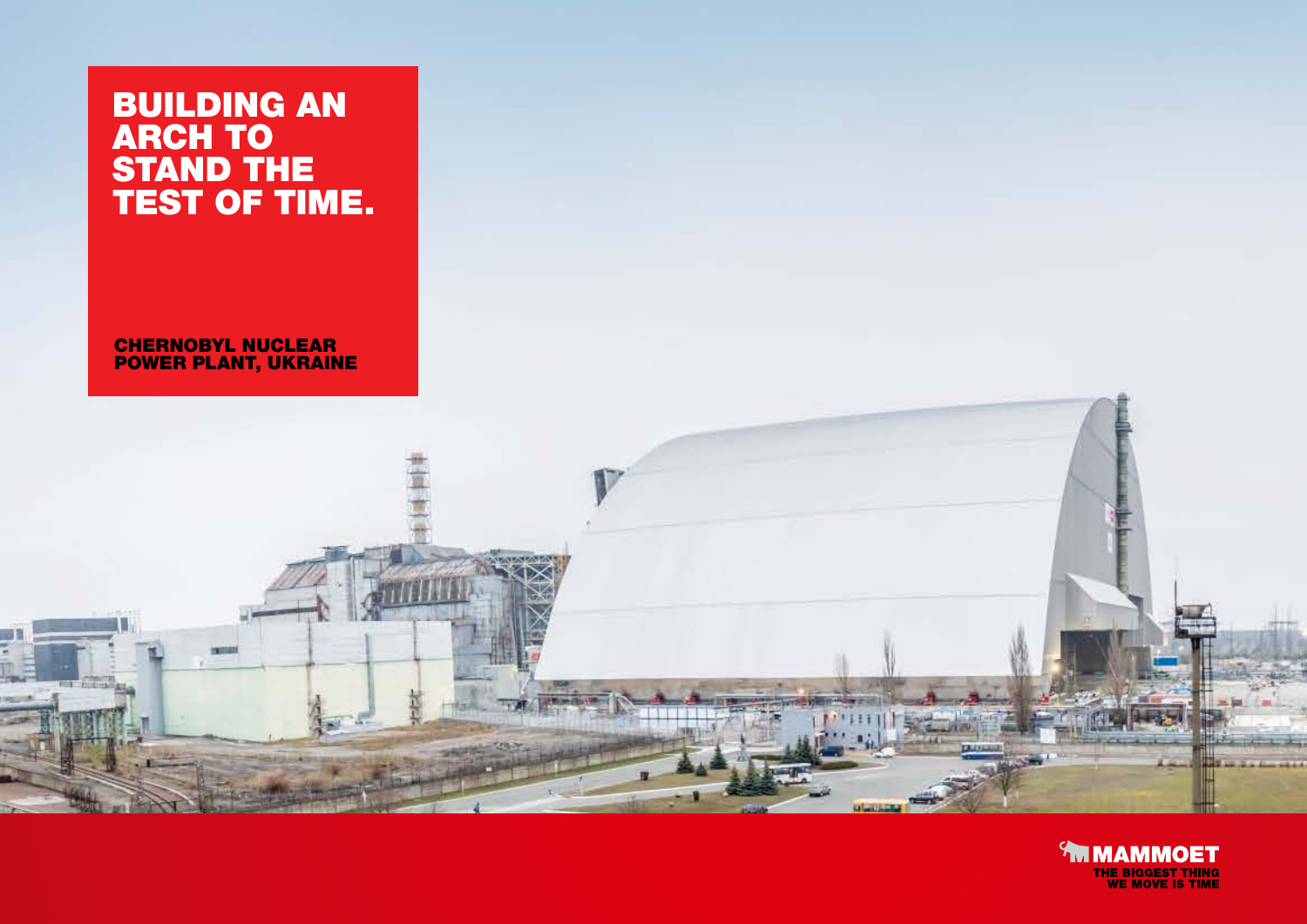## BUILDING AN ARCH TO STAND THE TEST OF TIME.

CHERNOBYL NUCLEAR POWER PLANT, UKRAINE